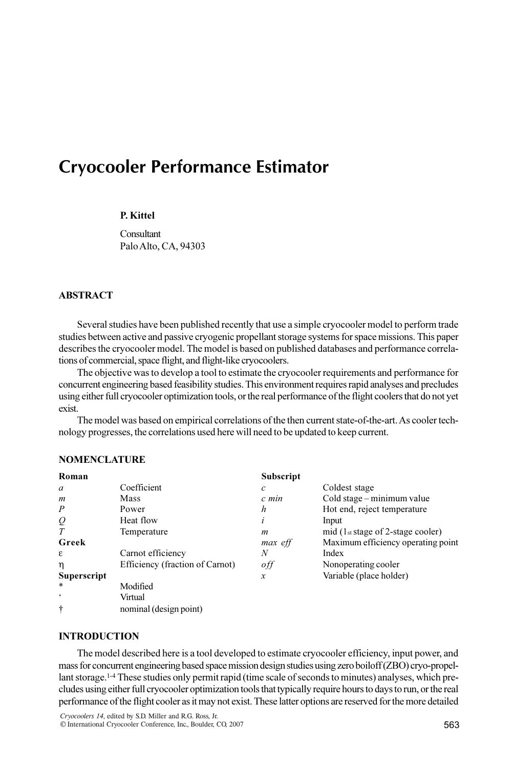# Cryocooler Performance Estimator

## P. Kittel

**Consultant** Palo Alto, CA, 94303

# ABSTRACT

Several studies have been published recently that use a simple cryocooler model to perform trade studies between active and passive cryogenic propellant storage systems for space missions. This paper describes the cryocooler model. The model is based on published databases and performance correlations of commercial, space flight, and flight-like cryocoolers.

The objective was to develop a tool to estimate the cryocooler requirements and performance for concurrent engineering based feasibility studies. This environment requires rapid analyses and precludes using either full cryocooler optimization tools, or the real performance of the flight coolers that do not yet exist.

The model was based on empirical correlations of the then current state-of-the-art. As cooler technology progresses, the correlations used here will need to be updated to keep current.

| Roman                   |                                 | <b>Subscript</b>  |                                                         |
|-------------------------|---------------------------------|-------------------|---------------------------------------------------------|
| a                       | Coefficient                     | $\mathcal{C}_{0}$ | Coldest stage                                           |
| m                       | <b>Mass</b>                     | c min             | Cold stage – minimum value                              |
| $\boldsymbol{P}$        | Power                           | h                 | Hot end, reject temperature                             |
| $\mathcal{Q}$           | Heat flow                       | l                 | Input                                                   |
| $\tau$                  | Temperature                     | m                 | mid (1 $st \, \text{stage of } 2\text{-stage cooler}$ ) |
| Greek                   |                                 | max eff           | Maximum efficiency operating point                      |
| ε                       | Carnot efficiency               | N                 | Index                                                   |
| η                       | Efficiency (fraction of Carnot) | off               | Nonoperating cooler                                     |
| <b>Superscript</b>      |                                 | x                 | Variable (place holder)                                 |
| $\ast$                  | Modified                        |                   |                                                         |
| $\boldsymbol{\epsilon}$ | Virtual                         |                   |                                                         |
| ÷                       | nominal (design point)          |                   |                                                         |

# NOMENCLATURE

# INTRODUCTION

The model described here is a tool developed to estimate cryocooler efficiency, input power, and mass for concurrent engineering based space mission design studies using zero boiloff (ZBO) cryo-propellant storage.1-4 These studies only permit rapid (time scale of seconds to minutes) analyses, which precludes using either full cryocooler optimization tools that typically require hours to days to run, or the real performance of the flight cooler as it may not exist. These latter options are reserved for the more detailed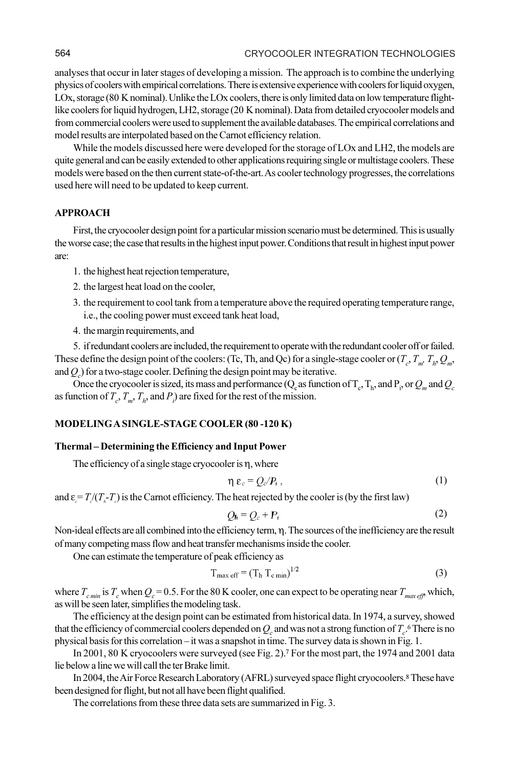analyses that occur in later stages of developing a mission. The approach is to combine the underlying physics of coolers with empirical correlations. There is extensive experience with coolers for liquid oxygen, LOx, storage (80 K nominal). Unlike the LOx coolers, there is only limited data on low temperature flightlike coolers for liquid hydrogen, LH2, storage (20 K nominal). Data from detailed cryocooler models and from commercial coolers were used to supplement the available databases. The empirical correlations and model results are interpolated based on the Carnot efficiency relation.

While the models discussed here were developed for the storage of LOx and LH2, the models are quite general and can be easily extended to other applications requiring single or multistage coolers. These models were based on the then current state-of-the-art. As cooler technology progresses, the correlations used here will need to be updated to keep current.

## APPROACH

First, the cryocooler design point for a particular mission scenario must be determined. This is usually the worse case; the case that results in the highest input power. Conditions that result in highest input power are:

- 1. the highest heat rejection temperature,
- 2. the largest heat load on the cooler,
- 3. the requirement to cool tank from a temperature above the required operating temperature range, i.e., the cooling power must exceed tank heat load,
- 4. the margin requirements, and

5. if redundant coolers are included, the requirement to operate with the redundant cooler off or failed. These define the design point of the coolers: (Tc, Th, and Qc) for a single-stage cooler or  $(T_c, T_m, T_h, Q_m, T_h)$ and  $Q_c$ ) for a two-stage cooler. Defining the design point may be iterative.

Once the cryocooler is sized, its mass and performance (Q<sub>c</sub> as function of  $T_c$ ,  $T_h$ , and  $P_i$ , or  $Q_m$  and  $Q_c$ as function of  $T_c$ ,  $T_m$ ,  $T_h$ , and  $P_i$ ) are fixed for the rest of the mission.

# MODELING A SINGLE-STAGE COOLER (80 -120 K)

## Thermal – Determining the Efficiency and Input Power

The efficiency of a single stage cryocooler is  $\eta$ , where

$$
\eta \varepsilon_c = Q_c/P_i \,, \tag{1}
$$

and  $\varepsilon = T/(T_{n} - T_{c})$  is the Carnot efficiency. The heat rejected by the cooler is (by the first law)

$$
Q_{h} = Q_{c} + P_{i}
$$
 (2)

Non-ideal effects are all combined into the efficiency term,  $\eta$ . The sources of the inefficiency are the result of many competing mass flow and heat transfer mechanisms inside the cooler.

One can estimate the temperature of peak efficiency as

$$
T_{\text{max eff}} = (T_h T_{\text{c min}})^{1/2} \tag{3}
$$

where  $T_{c,min}$  is  $T_c$  when  $Q_c = 0.5$ . For the 80 K cooler, one can expect to be operating near  $T_{m\alpha\beta}$  which, as will be seen later, simplifies the modeling task.

The efficiency at the design point can be estimated from historical data. In 1974, a survey, showed that the efficiency of commercial coolers depended on  $Q_c$  and was not a strong function of  $T_c$ .<sup>6</sup> There is no physical basis for this correlation – it was a snapshot in time. The survey data is shown in Fig. 1.

In 2001, 80 K cryocoolers were surveyed (see Fig. 2).<sup>7</sup> For the most part, the 1974 and 2001 data lie below a line we will call the ter Brake limit.

In 2004, the Air Force Research Laboratory (AFRL) surveyed space flight cryocoolers.<sup>8</sup> These have been designed for flight, but not all have been flight qualified.

The correlations from these three data sets are summarized in Fig. 3.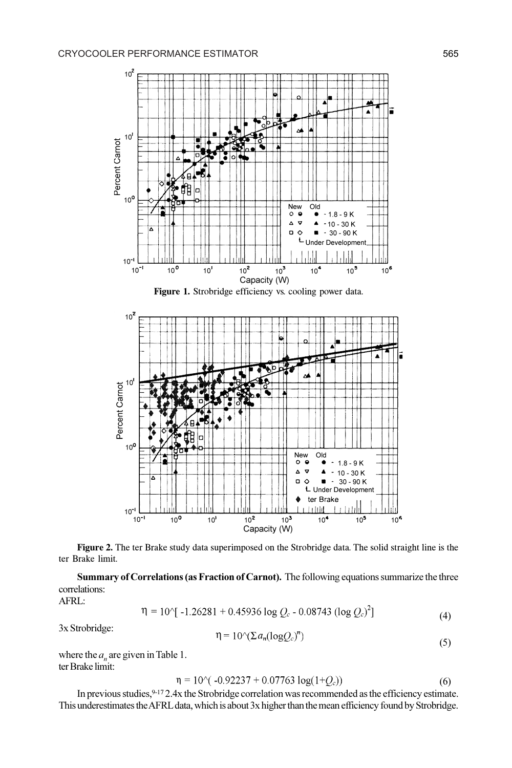

Figure 2. The ter Brake study data superimposed on the Strobridge data. The solid straight line is the ter Brake limit.

Summary of Correlations (as Fraction of Carnot). The following equations summarize the three correlations: AFRL:

$$
\eta = 10^{-1} [-1.26281 + 0.45936 \log Q_c - 0.08743 (\log Q_c)^2]
$$
\n(4)

3x Strobridge:

$$
\eta = 10^{\circ} (\Sigma a_n (\log Q_c)^n)
$$
\n(5)

where the  $a_n$  are given in Table 1. ter Brake limit:

$$
\eta = 10^{\circ}(-0.92237 + 0.07763 \log(1 + Q_c))
$$
\n(6)

In previous studies, 9-17 2.4x the Strobridge correlation was recommended as the efficiency estimate. This underestimates the AFRL data, which is about 3x higher than the mean efficiency found by Strobridge.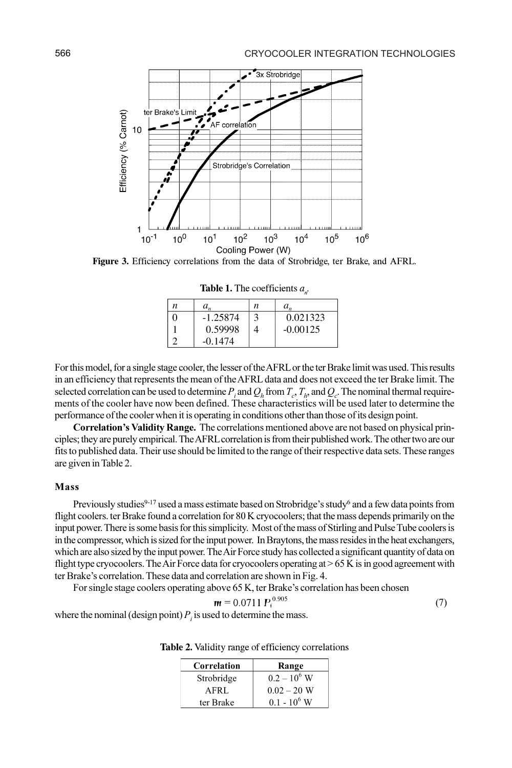Figure 3. Efficiency correlations from the data of Strobridge, ter Brake, and AFRL.

**Table 1.** The coefficients  $a_n$ .  $\boldsymbol{n}$ 

3

 $\overline{4}$ 

.

0.021323

 $-0.00125$ 

 $a_{n}$ 

| For this model, for a single stage cooler, the lesser of the AFRL or the ter Brake limit was used. This results          |
|--------------------------------------------------------------------------------------------------------------------------|
| in an efficiency that represents the mean of the AFRL data and does not exceed the ter Brake limit. The                  |
| selected correlation can be used to determine P, and $Q_h$ from $T_e$ , $T_h$ , and $Q_e$ . The nominal thermal require- |
| ments of the cooler have now been defined. These characteristics will be used later to determine the                     |
| performance of the cooler when it is operating in conditions other than those of its design point.                       |

Correlation's Validity Range. The correlations mentioned above are not based on physical principles; they are purely empirical. The AFRL correlation is from their published work. The other two are our fits to published data. Their use should be limited to the range of their respective data sets. These ranges are given in Table 2.

## Mass

Previously studies<sup>9-17</sup> used a mass estimate based on Strobridge's study<sup>6</sup> and a few data points from flight coolers. ter Brake found a correlation for 80 K cryocoolers; that the mass depends primarily on the input power. There is some basis for this simplicity. Most of the mass of Stirling and Pulse Tube coolers is in the compressor, which is sized for the input power. In Braytons, the mass resides in the heat exchangers, which are also sized by the input power. The Air Force study has collected a significant quantity of data on flight type cryocoolers. The Air Force data for cryocoolers operating at  $> 65$  K is in good agreement with ter Brake's correlation. These data and correlation are shown in Fig. 4.

For single stage coolers operating above 65 K, ter Brake's correlation has been chosen

$$
\mathbf{m} = 0.0711 \, P_i^{\,0.905} \tag{7}
$$

where the nominal (design point)  $P_i$  is used to determine the mass.

 $\overline{n}$ 

 $\overline{0}$ 

 $\mathbf{1}$  $\overline{2}$   $a_{n}$ 

 $-1.25874$ 

0.59998

 $-0.1474$ 

| Correlation | Range          |
|-------------|----------------|
| Strobridge  | $0.2 - 10^6$ W |
| AFRL        | $0.02 - 20$ W  |
| ter Brake   | $0.1 - 10^6$ W |

Table 2. Validity range of efficiency correlations

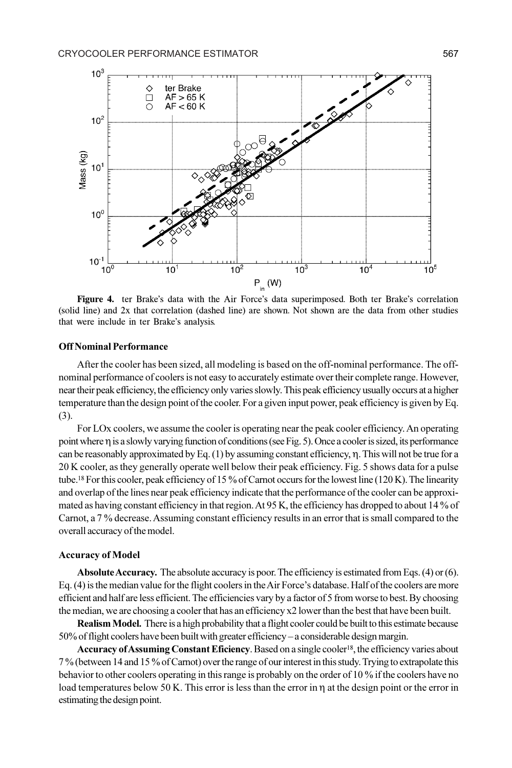

Figure 4. ter Brake's data with the Air Force's data superimposed. Both ter Brake's correlation (solid line) and 2x that correlation (dashed line) are shown. Not shown are the data from other studies that were include in ter Brake's analysis.

#### Off Nominal Performance

After the cooler has been sized, all modeling is based on the off-nominal performance. The offnominal performance of coolers is not easy to accurately estimate over their complete range. However, near their peak efficiency, the efficiency only varies slowly. This peak efficiency usually occurs at a higher temperature than the design point of the cooler. For a given input power, peak efficiency is given by Eq. (3).

For LOx coolers, we assume the cooler is operating near the peak cooler efficiency. An operating point where  $\eta$  is a slowly varying function of conditions (see Fig. 5). Once a cooler is sized, its performance can be reasonably approximated by Eq.  $(1)$  by assuming constant efficiency,  $\eta$ . This will not be true for a 20 K cooler, as they generally operate well below their peak efficiency. Fig. 5 shows data for a pulse tube.<sup>18</sup> For this cooler, peak efficiency of 15 % of Carnot occurs for the lowest line (120 K). The linearity and overlap of the lines near peak efficiency indicate that the performance of the cooler can be approximated as having constant efficiency in that region. At 95 K, the efficiency has dropped to about 14 % of Carnot, a 7 % decrease. Assuming constant efficiency results in an error that is small compared to the overall accuracy of the model.

#### Accuracy of Model

Absolute Accuracy. The absolute accuracy is poor. The efficiency is estimated from Eqs. (4) or (6). Eq. (4) is the median value for the flight coolers in the Air Force's database. Half of the coolers are more efficient and half are less efficient. The efficiencies vary by a factor of 5 from worse to best. By choosing the median, we are choosing a cooler that has an efficiency x2 lower than the best that have been built.

Realism Model. There is a high probability that a flight cooler could be built to this estimate because 50% of flight coolers have been built with greater efficiency – a considerable design margin.

Accuracy of Assuming Constant Eficiency. Based on a single cooler<sup>18</sup>, the efficiency varies about 7 % (between 14 and 15 % of Carnot) over the range of our interest in this study. Trying to extrapolate this behavior to other coolers operating in this range is probably on the order of 10 % if the coolers have no load temperatures below 50 K. This error is less than the error in  $\eta$  at the design point or the error in estimating the design point.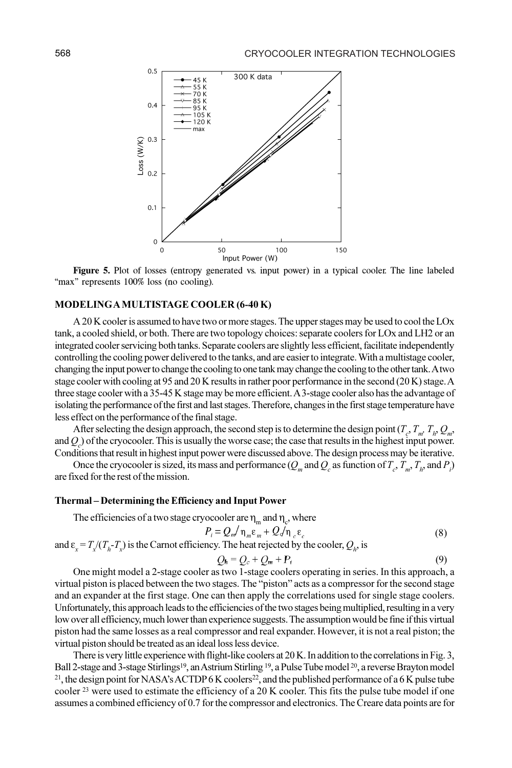

Figure 5. Plot of losses (entropy generated vs. input power) in a typical cooler. The line labeled "max" represents 100% loss (no cooling).

# MODELING A MULTISTAGE COOLER (6-40 K)

A 20 K cooler is assumed to have two or more stages. The upper stages may be used to cool the LOx tank, a cooled shield, or both. There are two topology choices: separate coolers for LOx and LH2 or an integrated cooler servicing both tanks. Separate coolers are slightly less efficient, facilitate independently controlling the cooling power delivered to the tanks, and are easier to integrate. With a multistage cooler, changing the input power to change the cooling to one tank may change the cooling to the other tank. A two stage cooler with cooling at 95 and 20 K results in rather poor performance in the second (20 K) stage. A three stage cooler with a 35-45 K stage may be more efficient. A 3-stage cooler also has the advantage of isolating the performance of the first and last stages. Therefore, changes in the first stage temperature have less effect on the performance of the final stage.

After selecting the design approach, the second step is to determine the design point  $(T_c, T_m, T_h, Q_m, T_h)$ and  $Q_c$ ) of the cryocooler. This is usually the worse case; the case that results in the highest input power. Conditions that result in highest input power were discussed above. The design process may be iterative.

Once the cryocooler is sized, its mass and performance ( $Q_m$  and  $Q_c$  as function of  $T_c$ ,  $T_m$ ,  $T_h$ , and  $P_i$ ) are fixed for the rest of the mission.

#### Thermal – Determining the Efficiency and Input Power

The efficiencies of a two stage cryocooler are  $\eta_m$  and  $\eta_c$ , where

$$
P_i = Q_m / \eta_m \varepsilon_m + Q / \eta_c \varepsilon_c \tag{8}
$$

and  $\varepsilon_x = T_x/(T_h - T_x)$  is the Carnot efficiency. The heat rejected by the cooler,  $Q_h$  is

$$
Q_h = Q_c + Q_m + P_i \tag{9}
$$

One might model a 2-stage cooler as two 1-stage coolers operating in series. In this approach, a virtual piston is placed between the two stages. The "piston" acts as a compressor for the second stage and an expander at the first stage. One can then apply the correlations used for single stage coolers. Unfortunately, this approach leads to the efficiencies of the two stages being multiplied, resulting in a very low over all efficiency, much lower than experience suggests. The assumption would be fine if this virtual piston had the same losses as a real compressor and real expander. However, it is not a real piston; the virtual piston should be treated as an ideal loss less device.

There is very little experience with flight-like coolers at 20 K. In addition to the correlations in Fig. 3, Ball 2-stage and 3-stage Stirlings<sup>19</sup>, an Astrium Stirling <sup>19</sup>, a Pulse Tube model <sup>20</sup>, a reverse Brayton model <sup>21</sup>, the design point for NASA's ACTDP 6 K coolers<sup>22</sup>, and the published performance of a 6 K pulse tube cooler  $^{23}$  were used to estimate the efficiency of a 20 K cooler. This fits the pulse tube model if one assumes a combined efficiency of 0.7 for the compressor and electronics. The Creare data points are for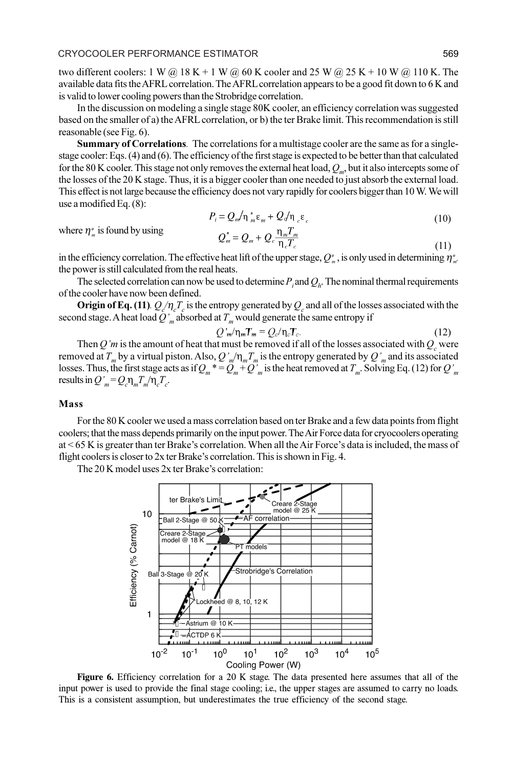two different coolers: 1 W @ 18 K + 1 W @ 60 K cooler and 25 W @ 25 K + 10 W @ 110 K. The available data fits the AFRL correlation. The AFRL correlation appears to be a good fit down to 6 K and is valid to lower cooling powers than the Strobridge correlation.

In the discussion on modeling a single stage 80K cooler, an efficiency correlation was suggested based on the smaller of a) the AFRL correlation, or b) the ter Brake limit. This recommendation is still reasonable (see Fig. 6).

Summary of Correlations. The correlations for a multistage cooler are the same as for a singlestage cooler: Eqs. (4) and (6). The efficiency of the first stage is expected to be better than that calculated for the 80 K cooler. This stage not only removes the external heat load,  $Q_m$ , but it also intercepts some of the losses of the 20 K stage. Thus, it is a bigger cooler than one needed to just absorb the external load. This effect is not large because the efficiency does not vary rapidly for coolers bigger than 10 W. We will use a modified Eq. (8):

$$
P_i = Q_m / \eta_m^* \varepsilon_m + Q_d / \eta_c \varepsilon_c \tag{10}
$$

where  $\eta_{m}^{*}$  is found by using

$$
Q_m^* = Q_m + Q_c \frac{\eta_m T_m}{\eta_c T_c} \tag{11}
$$

in the efficiency correlation. The effective heat lift of the upper stage,  $Q_m^*$ , is only used in determining  $\eta_m^*$ the power is still calculated from the real heats.

The selected correlation can now be used to determine  $P_i$  and  $Q_i$ . The nominal thermal requirements of the cooler have now been defined.

**Origin of Eq.** (11).  $Q_c/\eta_c T_c$  is the entropy generated by  $Q_c$  and all of the losses associated with the second stage. A heat load  $\tilde{Q}'_{m}$  absorbed at  $T_{m}$  would generate the same entropy if

$$
Q'_{m}/\eta_{m}T_{m} = Q_{c}/\eta_{c}T_{c}.
$$
 (12)

Then Q'm is the amount of heat that must be removed if all of the losses associated with  $Q_c$  were removed at  $T_m$  by a virtual piston. Also,  $Q'_m/\eta_m T_m$  is the entropy generated by  $Q'_m$  and its associated losses. Thus, the first stage acts as if  $Q_m \equiv Q_m + Q_m$  is the heat removed at  $T_m$ . Solving Eq. (12) for  $Q_m$ results in  $Q'_m = Q_c \eta_m T_m / \eta_c T_c$ .

#### Mass

For the 80 K cooler we used a mass correlation based on ter Brake and a few data points from flight coolers; that the mass depends primarily on the input power. The Air Force data for cryocoolers operating at < 65 K is greater than ter Brake's correlation. When all the Air Force's data is included, the mass of flight coolers is closer to 2x ter Brake's correlation. This is shown in Fig. 4.

The 20 K model uses 2x ter Brake's correlation:



Figure 6. Efficiency correlation for a 20 K stage. The data presented here assumes that all of the input power is used to provide the final stage cooling; i.e., the upper stages are assumed to carry no loads. This is a consistent assumption, but underestimates the true efficiency of the second stage.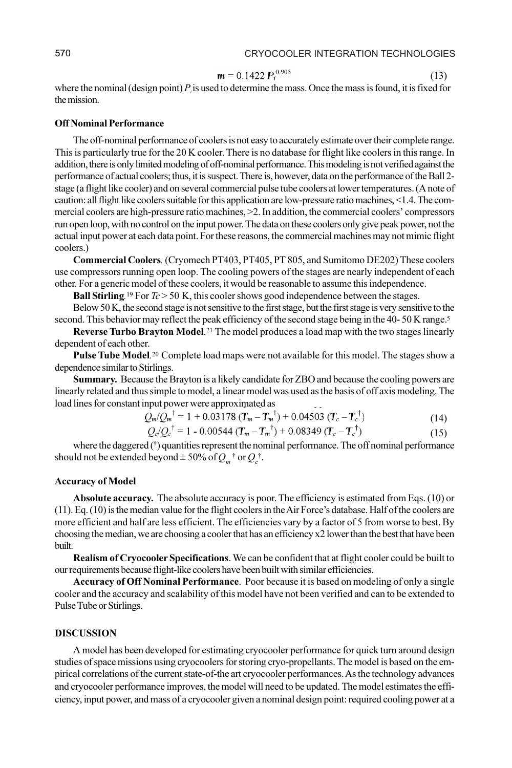(13)

$$
m = 0.1422 P_t^{0.905}
$$

where the nominal (design point)  $P_i$  is used to determine the mass. Once the mass is found, it is fixed for the mission.

## Off Nominal Performance

The off-nominal performance of coolers is not easy to accurately estimate over their complete range. This is particularly true for the 20 K cooler. There is no database for flight like coolers in this range. In addition, there is only limited modeling of off-nominal performance. This modeling is not verified against the performance of actual coolers; thus, it is suspect. There is, however, data on the performance of the Ball 2 stage (a flight like cooler) and on several commercial pulse tube coolers at lower temperatures. (A note of caution: all flight like coolers suitable for this application are low-pressure ratio machines, <1.4. The commercial coolers are high-pressure ratio machines, >2. In addition, the commercial coolers' compressors run open loop, with no control on the input power. The data on these coolers only give peak power, not the actual input power at each data point. For these reasons, the commercial machines may not mimic flight coolers.)

Commercial Coolers. (Cryomech PT403, PT405, PT 805, and Sumitomo DE202) These coolers use compressors running open loop. The cooling powers of the stages are nearly independent of each other. For a generic model of these coolers, it would be reasonable to assume this independence.

Ball Stirling.<sup>19</sup> For  $Tc > 50$  K, this cooler shows good independence between the stages.

Below 50 K, the second stage is not sensitive to the first stage, but the first stage is very sensitive to the second. This behavior may reflect the peak efficiency of the second stage being in the 40- 50 K range.<sup>5</sup>

Reverse Turbo Brayton Model.<sup>21</sup> The model produces a load map with the two stages linearly dependent of each other.

Pulse Tube Model.<sup>20</sup> Complete load maps were not available for this model. The stages show a dependence similar to Stirlings.

Summary. Because the Brayton is a likely candidate for ZBO and because the cooling powers are linearly related and thus simple to model, a linear model was used as the basis of off axis modeling. The load lines for constant input power were approximated as

$$
Q_{m}/Q_{m}^{\dagger} = 1 + 0.03178 \left( T_{m} - T_{m}^{\dagger} \right) + 0.04503 \left( T_{c} - T_{c}^{\dagger} \right)
$$
(14)

$$
Q_{c}/Q_{c}^{\dagger} = 1 - 0.00544 (T_m - T_m^{\dagger}) + 0.08349 (T_c - T_c^{\dagger})
$$
\n(15)

where the daggered (†) quantities represent the nominal performance. The off nominal performance should not be extended beyond  $\pm 50\%$  of  $Q_m^{\dagger}$  or  $Q_c^{\dagger}$ .

#### Accuracy of Model

Absolute accuracy. The absolute accuracy is poor. The efficiency is estimated from Eqs. (10) or (11). Eq. (10) is the median value for the flight coolers in the Air Force's database. Half of the coolers are more efficient and half are less efficient. The efficiencies vary by a factor of 5 from worse to best. By choosing the median, we are choosing a cooler that has an efficiency x2 lower than the best that have been built.

Realism of Cryocooler Specifications. We can be confident that at flight cooler could be built to our requirements because flight-like coolers have been built with similar efficiencies.

Accuracy of Off Nominal Performance. Poor because it is based on modeling of only a single cooler and the accuracy and scalability of this model have not been verified and can to be extended to Pulse Tube or Stirlings.

## **DISCUSSION**

A model has been developed for estimating cryocooler performance for quick turn around design studies of space missions using cryocoolers for storing cryo-propellants. The model is based on the empirical correlations of the current state-of-the art cryocooler performances. As the technology advances and cryocooler performance improves, the model will need to be updated. The model estimates the efficiency, input power, and mass of a cryocooler given a nominal design point: required cooling power at a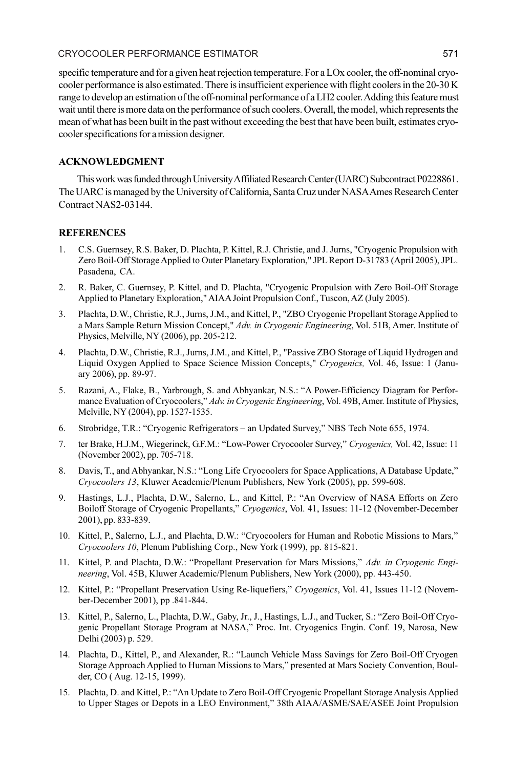## CRYOCOOLER PERFORMANCE ESTIMATOR 571

specific temperature and for a given heat rejection temperature. For a LOx cooler, the off-nominal cryocooler performance is also estimated. There is insufficient experience with flight coolers in the 20-30 K range to develop an estimation of the off-nominal performance of a LH2 cooler. Adding this feature must wait until there is more data on the performance of such coolers. Overall, the model, which represents the mean of what has been built in the past without exceeding the best that have been built, estimates cryocooler specifications for a mission designer.

# ACKNOWLEDGMENT

This work was funded through University Affiliated Research Center (UARC) Subcontract P0228861. The UARC is managed by the University of California, Santa Cruz under NASA Ames Research Center Contract NAS2-03144.

# **REFERENCES**

- 1. C.S. Guernsey, R.S. Baker, D. Plachta, P. Kittel, R.J. Christie, and J. Jurns, "Cryogenic Propulsion with Zero Boil-Off Storage Applied to Outer Planetary Exploration," JPL Report D-31783 (April 2005), JPL. Pasadena, CA.
- 2. R. Baker, C. Guernsey, P. Kittel, and D. Plachta, "Cryogenic Propulsion with Zero Boil-Off Storage Applied to Planetary Exploration," AIAA Joint Propulsion Conf., Tuscon, AZ (July 2005).
- 3. Plachta, D.W., Christie, R.J., Jurns, J.M., and Kittel, P., "ZBO Cryogenic Propellant Storage Applied to a Mars Sample Return Mission Concept," Adv. in Cryogenic Engineering, Vol. 51B, Amer. Institute of Physics, Melville, NY (2006), pp. 205-212.
- 4. Plachta, D.W., Christie, R.J., Jurns, J.M., and Kittel, P., "Passive ZBO Storage of Liquid Hydrogen and Liquid Oxygen Applied to Space Science Mission Concepts," Cryogenics, Vol. 46, Issue: 1 (January 2006), pp. 89-97.
- 5. Razani, A., Flake, B., Yarbrough, S. and Abhyankar, N.S.: "A Power-Efficiency Diagram for Performance Evaluation of Cryocoolers," Adv. in Cryogenic Engineering, Vol. 49B, Amer. Institute of Physics, Melville, NY (2004), pp. 1527-1535.
- 6. Strobridge, T.R.: "Cryogenic Refrigerators an Updated Survey," NBS Tech Note 655, 1974.
- 7. ter Brake, H.J.M., Wiegerinck, G.F.M.: "Low-Power Cryocooler Survey," Cryogenics, Vol. 42, Issue: 11 (November 2002), pp. 705-718.
- 8. Davis, T., and Abhyankar, N.S.: "Long Life Cryocoolers for Space Applications, A Database Update," Cryocoolers 13, Kluwer Academic/Plenum Publishers, New York (2005), pp. 599-608.
- 9. Hastings, L.J., Plachta, D.W., Salerno, L., and Kittel, P.: "An Overview of NASA Efforts on Zero Boiloff Storage of Cryogenic Propellants," Cryogenics, Vol. 41, Issues: 11-12 (November-December 2001), pp. 833-839.
- 10. Kittel, P., Salerno, L.J., and Plachta, D.W.: "Cryocoolers for Human and Robotic Missions to Mars," Cryocoolers 10, Plenum Publishing Corp., New York (1999), pp. 815-821.
- 11. Kittel, P. and Plachta, D.W.: "Propellant Preservation for Mars Missions," Adv. in Cryogenic Engineering, Vol. 45B, Kluwer Academic/Plenum Publishers, New York (2000), pp. 443-450.
- 12. Kittel, P.: "Propellant Preservation Using Re-liquefiers," Cryogenics, Vol. 41, Issues 11-12 (November-December 2001), pp .841-844.
- 13. Kittel, P., Salerno, L., Plachta, D.W., Gaby, Jr., J., Hastings, L.J., and Tucker, S.: "Zero Boil-Off Cryogenic Propellant Storage Program at NASA," Proc. Int. Cryogenics Engin. Conf. 19, Narosa, New Delhi (2003) p. 529.
- 14. Plachta, D., Kittel, P., and Alexander, R.: "Launch Vehicle Mass Savings for Zero Boil-Off Cryogen Storage Approach Applied to Human Missions to Mars," presented at Mars Society Convention, Boulder, CO ( Aug. 12-15, 1999).
- 15. Plachta, D. and Kittel, P.: "An Update to Zero Boil-Off Cryogenic Propellant Storage Analysis Applied to Upper Stages or Depots in a LEO Environment," 38th AIAA/ASME/SAE/ASEE Joint Propulsion